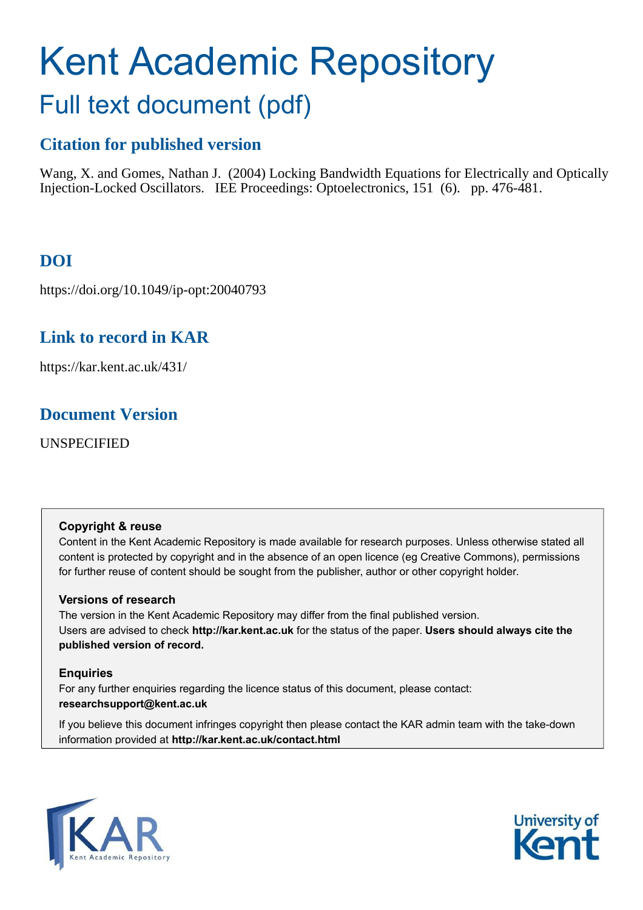# Kent Academic Repository Full text document (pdf)

# **Citation for published version**

Wang, X. and Gomes, Nathan J. (2004) Locking Bandwidth Equations for Electrically and Optically Injection-Locked Oscillators. IEE Proceedings: Optoelectronics, 151 (6). pp. 476-481.

# **DOI**

https://doi.org/10.1049/ip-opt:20040793

# **Link to record in KAR**

https://kar.kent.ac.uk/431/

# **Document Version**

UNSPECIFIED

#### **Copyright & reuse**

Content in the Kent Academic Repository is made available for research purposes. Unless otherwise stated all content is protected by copyright and in the absence of an open licence (eg Creative Commons), permissions for further reuse of content should be sought from the publisher, author or other copyright holder.

#### **Versions of research**

The version in the Kent Academic Repository may differ from the final published version. Users are advised to check **http://kar.kent.ac.uk** for the status of the paper. **Users should always cite the published version of record.**

#### **Enquiries**

For any further enquiries regarding the licence status of this document, please contact: **researchsupport@kent.ac.uk**

If you believe this document infringes copyright then please contact the KAR admin team with the take-down information provided at **http://kar.kent.ac.uk/contact.html**



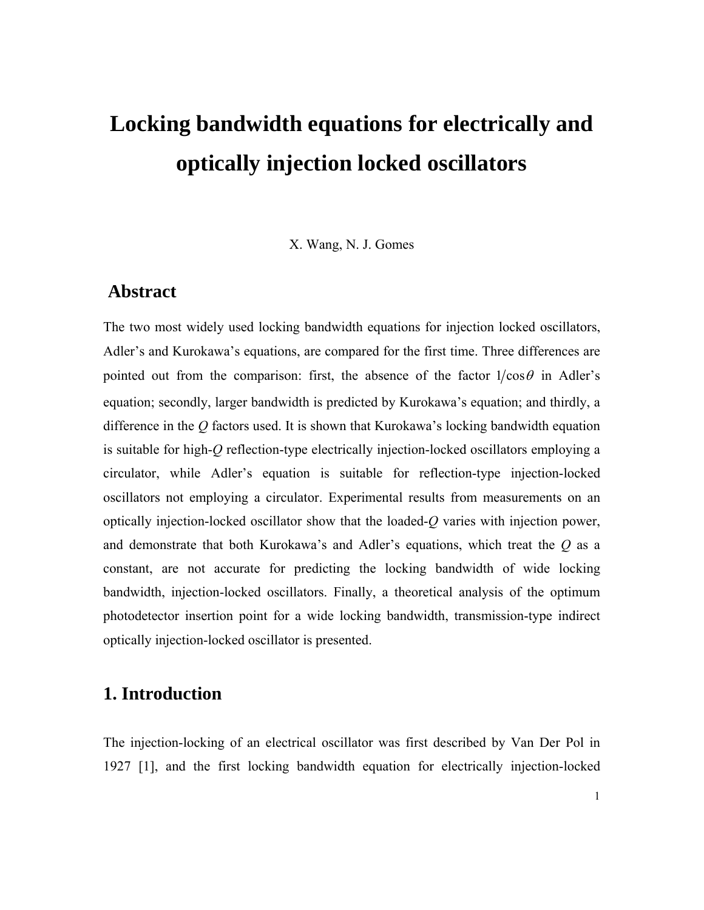# **Locking bandwidth equations for electrically and optically injection locked oscillators**

X. Wang, N. J. Gomes

#### **Abstract**

The two most widely used locking bandwidth equations for injection locked oscillators, Adler's and Kurokawa's equations, are compared for the first time. Three differences are pointed out from the comparison: first, the absence of the factor  $1/\cos\theta$  in Adler's equation; secondly, larger bandwidth is predicted by Kurokawa's equation; and thirdly, a difference in the *Q* factors used. It is shown that Kurokawa's locking bandwidth equation is suitable for high-*Q* reflection-type electrically injection-locked oscillators employing a circulator, while Adler's equation is suitable for reflection-type injection-locked oscillators not employing a circulator. Experimental results from measurements on an optically injection-locked oscillator show that the loaded-*Q* varies with injection power, and demonstrate that both Kurokawa's and Adler's equations, which treat the  $Q$  as a constant, are not accurate for predicting the locking bandwidth of wide locking bandwidth, injection-locked oscillators. Finally, a theoretical analysis of the optimum photodetector insertion point for a wide locking bandwidth, transmission-type indirect optically injection-locked oscillator is presented.

#### **1. Introduction**

The injection-locking of an electrical oscillator was first described by Van Der Pol in 1927 [1], and the first locking bandwidth equation for electrically injection-locked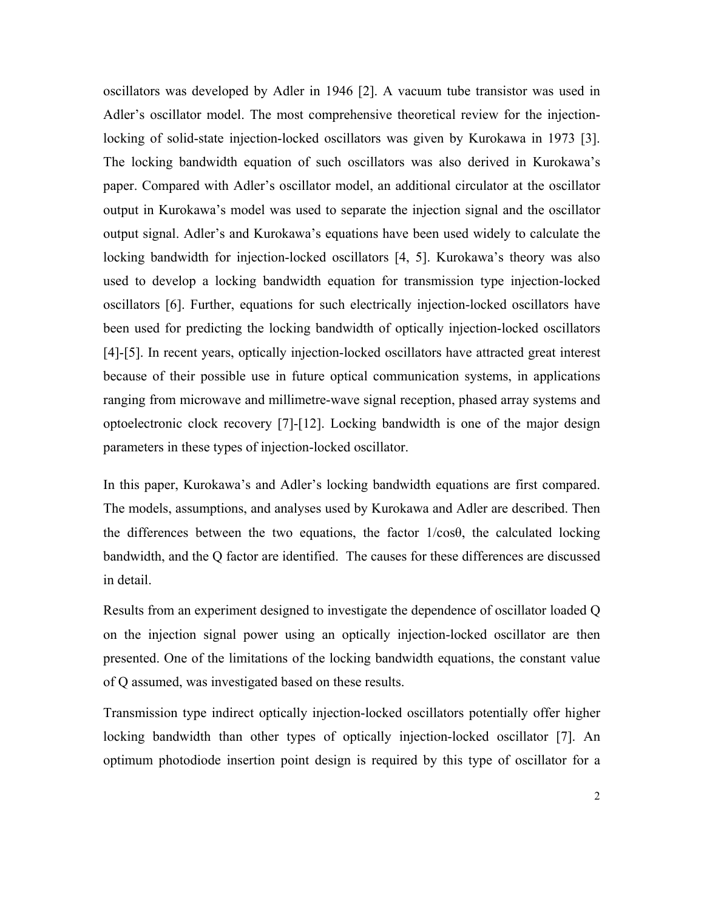oscillators was developed by Adler in 1946 [2]. A vacuum tube transistor was used in Adler's oscillator model. The most comprehensive theoretical review for the injectionlocking of solid-state injection-locked oscillators was given by Kurokawa in 1973 [3]. The locking bandwidth equation of such oscillators was also derived in Kurokawa's paper. Compared with Adler's oscillator model, an additional circulator at the oscillator output in Kurokawa's model was used to separate the injection signal and the oscillator output signal. Adler's and Kurokawa's equations have been used widely to calculate the locking bandwidth for injection-locked oscillators [4, 5]. Kurokawa's theory was also used to develop a locking bandwidth equation for transmission type injection-locked oscillators [6]. Further, equations for such electrically injection-locked oscillators have been used for predicting the locking bandwidth of optically injection-locked oscillators [4]-[5]. In recent years, optically injection-locked oscillators have attracted great interest because of their possible use in future optical communication systems, in applications ranging from microwave and millimetre-wave signal reception, phased array systems and optoelectronic clock recovery [7]-[12]. Locking bandwidth is one of the major design parameters in these types of injection-locked oscillator.

In this paper, Kurokawa's and Adler's locking bandwidth equations are first compared. The models, assumptions, and analyses used by Kurokawa and Adler are described. Then the differences between the two equations, the factor  $1/cos\theta$ , the calculated locking bandwidth, and the Q factor are identified. The causes for these differences are discussed in detail.

Results from an experiment designed to investigate the dependence of oscillator loaded Q on the injection signal power using an optically injection-locked oscillator are then presented. One of the limitations of the locking bandwidth equations, the constant value of Q assumed, was investigated based on these results.

Transmission type indirect optically injection-locked oscillators potentially offer higher locking bandwidth than other types of optically injection-locked oscillator [7]. An optimum photodiode insertion point design is required by this type of oscillator for a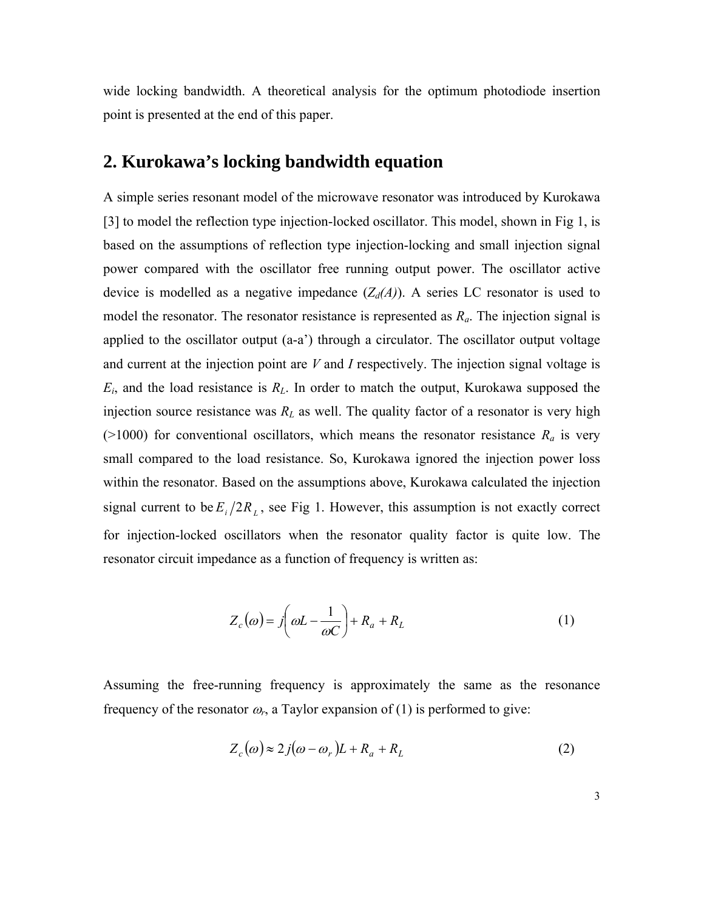wide locking bandwidth. A theoretical analysis for the optimum photodiode insertion point is presented at the end of this paper.

#### **2. Kurokawa's locking bandwidth equation**

A simple series resonant model of the microwave resonator was introduced by Kurokawa [3] to model the reflection type injection-locked oscillator. This model, shown in Fig 1, is based on the assumptions of reflection type injection-locking and small injection signal power compared with the oscillator free running output power. The oscillator active device is modelled as a negative impedance  $(Z_d(A))$ . A series LC resonator is used to model the resonator. The resonator resistance is represented as *Ra*. The injection signal is applied to the oscillator output  $(a-a')$  through a circulator. The oscillator output voltage and current at the injection point are *V* and *I* respectively. The injection signal voltage is *Ei*, and the load resistance is *RL*. In order to match the output, Kurokawa supposed the injection source resistance was *RL* as well. The quality factor of a resonator is very high ( $>1000$ ) for conventional oscillators, which means the resonator resistance  $R_a$  is very small compared to the load resistance. So, Kurokawa ignored the injection power loss within the resonator. Based on the assumptions above, Kurokawa calculated the injection signal current to be  $E_i/2R_L$ , see Fig 1. However, this assumption is not exactly correct for injection-locked oscillators when the resonator quality factor is quite low. The resonator circuit impedance as a function of frequency is written as:

$$
Z_c(\omega) = j \left( \omega L - \frac{1}{\omega C} \right) + R_a + R_L \tag{1}
$$

Assuming the free-running frequency is approximately the same as the resonance frequency of the resonator  $\omega_r$ , a Taylor expansion of (1) is performed to give:

$$
Z_c(\omega) \approx 2j(\omega - \omega_r)L + R_a + R_L \tag{2}
$$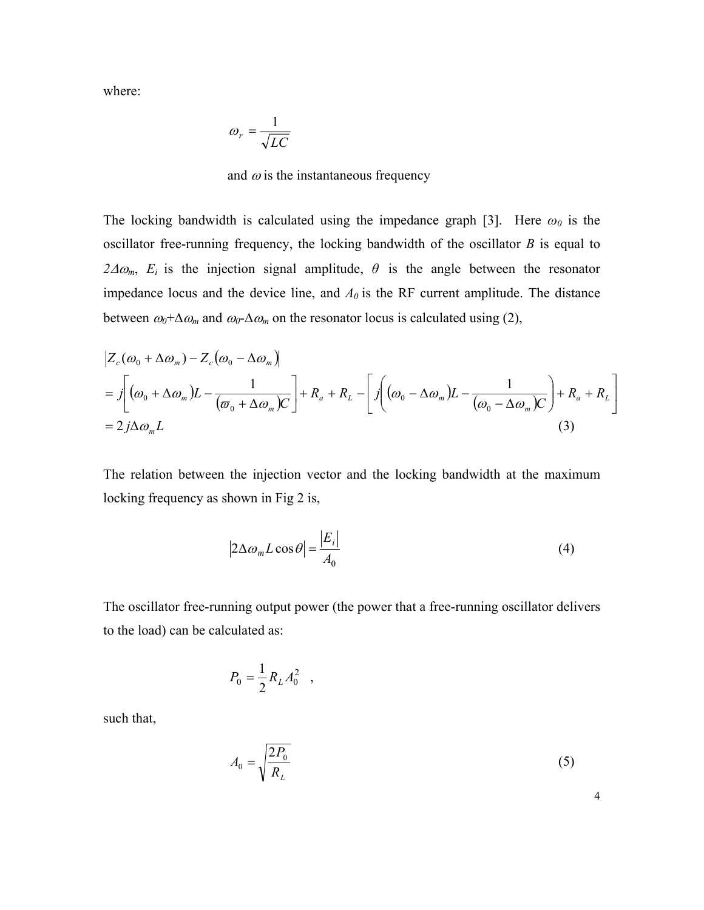where:

$$
\omega_r = \frac{1}{\sqrt{LC}}
$$

and  $\omega$  is the instantaneous frequency

The locking bandwidth is calculated using the impedance graph [3]. Here  $\omega_0$  is the oscillator free-running frequency, the locking bandwidth of the oscillator *B* is equal to *2∆* $\omega$ <sub>m</sub>,  $E_i$  is the injection signal amplitude,  $\theta$  is the angle between the resonator impedance locus and the device line, and  $A_0$  is the RF current amplitude. The distance between  $\omega_0 + \Delta \omega_m$  and  $\omega_0$ - $\Delta \omega_m$  on the resonator locus is calculated using (2),

$$
\begin{aligned} &\left|Z_c(\omega_0 + \Delta \omega_m) - Z_c(\omega_0 - \Delta \omega_m)\right| \\ &= j\bigg[ (\omega_0 + \Delta \omega_m)L - \frac{1}{(\varpi_0 + \Delta \omega_m)C} \bigg] + R_a + R_L - \bigg[ j\bigg( (\omega_0 - \Delta \omega_m)L - \frac{1}{(\omega_0 - \Delta \omega_m)C} \bigg) + R_a + R_L \bigg] \\ &= 2j\Delta \omega_m L \end{aligned}
$$
(3)

The relation between the injection vector and the locking bandwidth at the maximum locking frequency as shown in Fig 2 is,

$$
\left|2\Delta\omega_m L \cos\theta\right| = \frac{|E_i|}{A_0} \tag{4}
$$

The oscillator free-running output power (the power that a free-running oscillator delivers to the load) can be calculated as:

$$
P_0 = \frac{1}{2} R_L A_0^2 \quad ,
$$

such that,

$$
A_0 = \sqrt{\frac{2P_0}{R_L}}\tag{5}
$$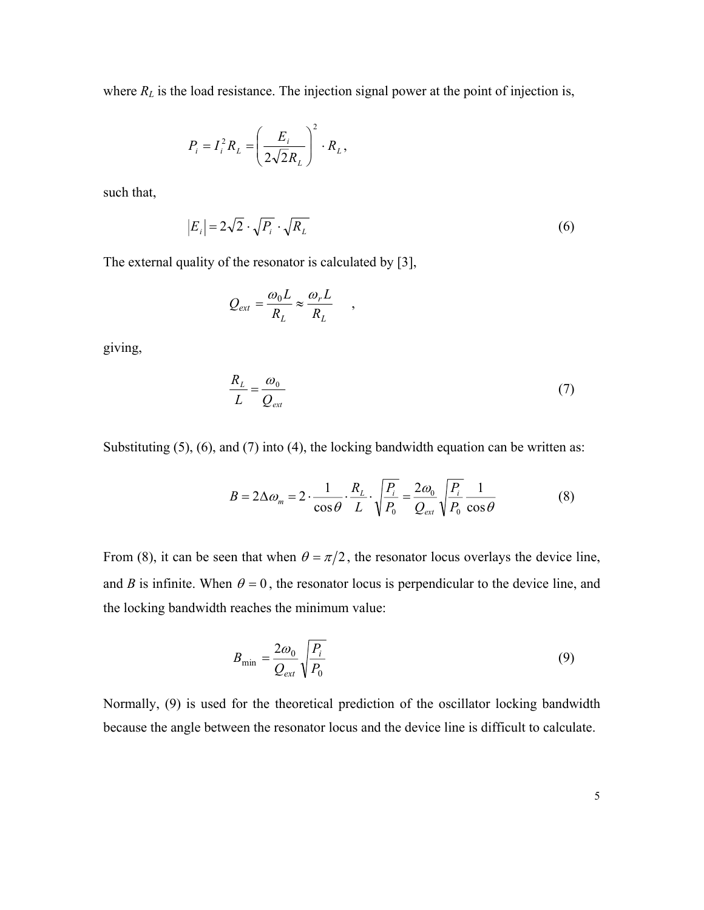where  $R_L$  is the load resistance. The injection signal power at the point of injection is,

$$
P_i = I_i^2 R_L = \left(\frac{E_i}{2\sqrt{2}R_L}\right)^2 \cdot R_L,
$$

such that,

$$
|E_i| = 2\sqrt{2} \cdot \sqrt{P_i} \cdot \sqrt{R_L} \tag{6}
$$

The external quality of the resonator is calculated by [3],

$$
Q_{ext} = \frac{\omega_0 L}{R_L} \approx \frac{\omega_r L}{R_L}
$$

giving,

$$
\frac{R_L}{L} = \frac{\omega_0}{Q_{\text{ext}}} \tag{7}
$$

Substituting (5), (6), and (7) into (4), the locking bandwidth equation can be written as:

,

$$
B = 2\Delta\omega_m = 2 \cdot \frac{1}{\cos\theta} \cdot \frac{R_L}{L} \cdot \sqrt{\frac{P_i}{P_0}} = \frac{2\omega_0}{Q_{\text{ext}}} \sqrt{\frac{P_i}{P_0}} \frac{1}{\cos\theta}
$$
(8)

From (8), it can be seen that when  $\theta = \pi/2$ , the resonator locus overlays the device line, and *B* is infinite. When  $\theta = 0$ , the resonator locus is perpendicular to the device line, and the locking bandwidth reaches the minimum value:

$$
B_{\min} = \frac{2\omega_0}{Q_{ext}} \sqrt{\frac{P_i}{P_0}}
$$
(9)

Normally, (9) is used for the theoretical prediction of the oscillator locking bandwidth because the angle between the resonator locus and the device line is difficult to calculate.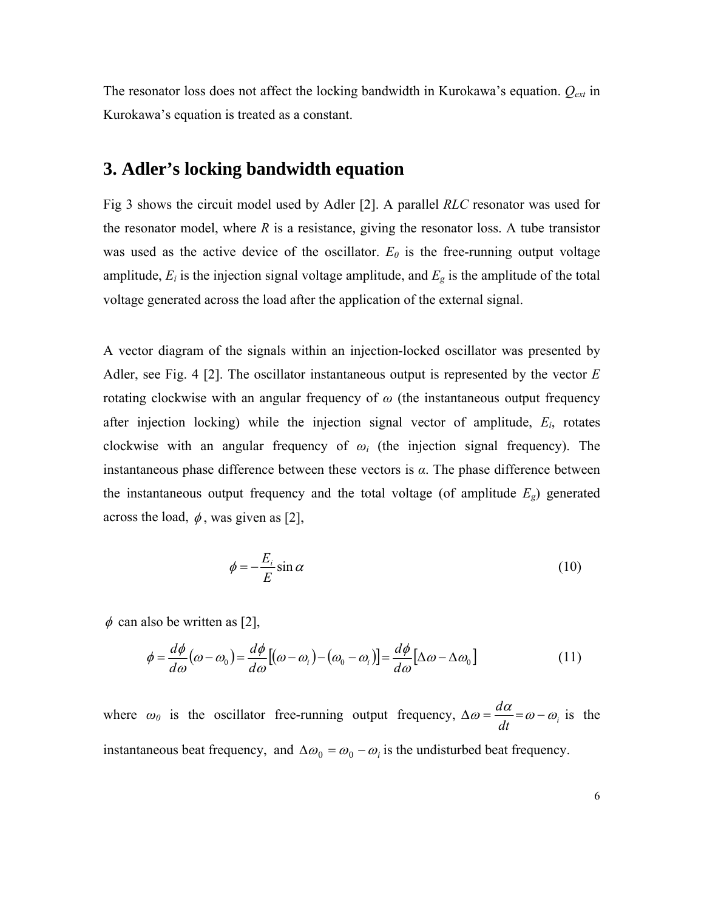The resonator loss does not affect the locking bandwidth in Kurokawa's equation.  $Q_{ext}$  in Kurokawa's equation is treated as a constant.

#### **3. Adler's locking bandwidth equation**

Fig 3 shows the circuit model used by Adler [2]. A parallel *RLC* resonator was used for the resonator model, where  $R$  is a resistance, giving the resonator loss. A tube transistor was used as the active device of the oscillator.  $E_0$  is the free-running output voltage amplitude,  $E_i$  is the injection signal voltage amplitude, and  $E_g$  is the amplitude of the total voltage generated across the load after the application of the external signal.

A vector diagram of the signals within an injection-locked oscillator was presented by Adler, see Fig. 4 [2]. The oscillator instantaneous output is represented by the vector *E* rotating clockwise with an angular frequency of  $\omega$  (the instantaneous output frequency after injection locking) while the injection signal vector of amplitude, *Ei*, rotates clockwise with an angular frequency of  $\omega_i$  (the injection signal frequency). The instantaneous phase difference between these vectors is  $\alpha$ . The phase difference between the instantaneous output frequency and the total voltage (of amplitude *Eg*) generated across the load,  $\phi$ , was given as [2],

$$
\phi = -\frac{E_i}{E} \sin \alpha \tag{10}
$$

 $\phi$  can also be written as [2],

$$
\phi = \frac{d\phi}{d\omega}(\omega - \omega_0) = \frac{d\phi}{d\omega}[(\omega - \omega_i) - (\omega_0 - \omega_i)] = \frac{d\phi}{d\omega}[\Delta\omega - \Delta\omega_0]
$$
(11)

where  $\omega_0$  is the oscillator free-running output frequency,  $\Delta \omega = \frac{d\omega}{dt} = \omega - \omega_i$  $\Delta \omega = \frac{d\alpha}{dt} = \omega - \omega_i$  is the instantaneous beat frequency, and  $\Delta \omega_0 = \omega_0 - \omega_i$  is the undisturbed beat frequency.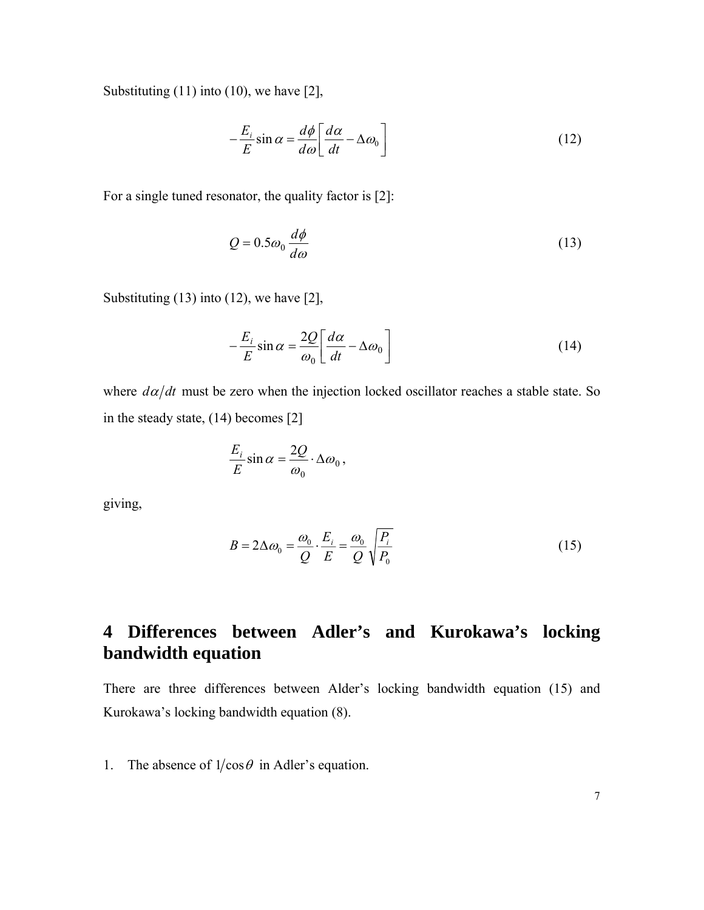Substituting (11) into (10), we have [2],

$$
-\frac{E_i}{E}\sin\alpha = \frac{d\phi}{d\omega}\left[\frac{d\alpha}{dt} - \Delta\omega_0\right]
$$
(12)

For a single tuned resonator, the quality factor is [2]:

$$
Q = 0.5\omega_0 \frac{d\phi}{d\omega} \tag{13}
$$

Substituting (13) into (12), we have [2],

$$
-\frac{E_i}{E}\sin\alpha = \frac{2Q}{\omega_0} \left[\frac{d\alpha}{dt} - \Delta\omega_0\right]
$$
 (14)

where  $d\alpha/dt$  must be zero when the injection locked oscillator reaches a stable state. So in the steady state, (14) becomes [2]

$$
\frac{E_i}{E}\sin\alpha = \frac{2Q}{\omega_0}\cdot \Delta\omega_0,
$$

giving,

$$
B = 2\Delta\omega_0 = \frac{\omega_0}{Q} \cdot \frac{E_i}{E} = \frac{\omega_0}{Q} \sqrt{\frac{P_i}{P_0}}
$$
(15)

# **4 Differences between Adler's and Kurokawa's locking bandwidth equation**

There are three differences between Alder's locking bandwidth equation (15) and Kurokawa's locking bandwidth equation (8).

1. The absence of  $1/\cos\theta$  in Adler's equation.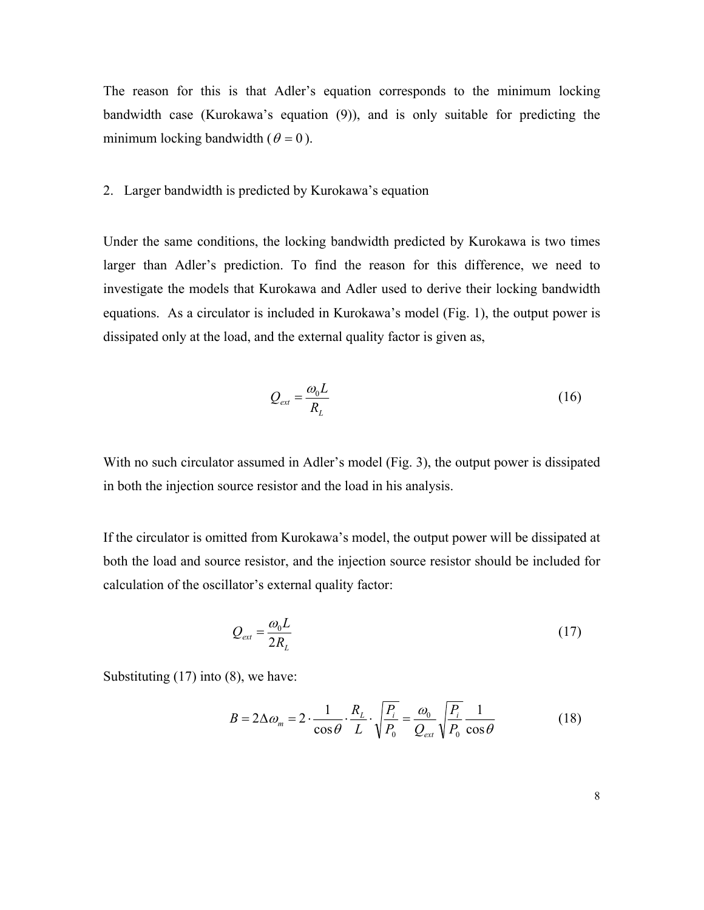The reason for this is that Adler's equation corresponds to the minimum locking bandwidth case (Kurokawa's equation (9)), and is only suitable for predicting the minimum locking bandwidth ( $\theta = 0$ ).

#### 2. Larger bandwidth is predicted by Kurokawa's equation

Under the same conditions, the locking bandwidth predicted by Kurokawa is two times larger than Adler's prediction. To find the reason for this difference, we need to investigate the models that Kurokawa and Adler used to derive their locking bandwidth equations. As a circulator is included in Kurokawa's model (Fig. 1), the output power is dissipated only at the load, and the external quality factor is given as,

$$
Q_{ext} = \frac{\omega_0 L}{R_L} \tag{16}
$$

With no such circulator assumed in Adler's model (Fig. 3), the output power is dissipated in both the injection source resistor and the load in his analysis.

If the circulator is omitted from Kurokawa's model, the output power will be dissipated at both the load and source resistor, and the injection source resistor should be included for calculation of the oscillator's external quality factor:

$$
Q_{ext} = \frac{\omega_0 L}{2R_L} \tag{17}
$$

Substituting  $(17)$  into  $(8)$ , we have:

$$
B = 2\Delta\omega_m = 2 \cdot \frac{1}{\cos\theta} \cdot \frac{R_L}{L} \cdot \sqrt{\frac{P_i}{P_0}} = \frac{\omega_0}{Q_{\text{ext}}} \sqrt{\frac{P_i}{P_0}} \frac{1}{\cos\theta} \tag{18}
$$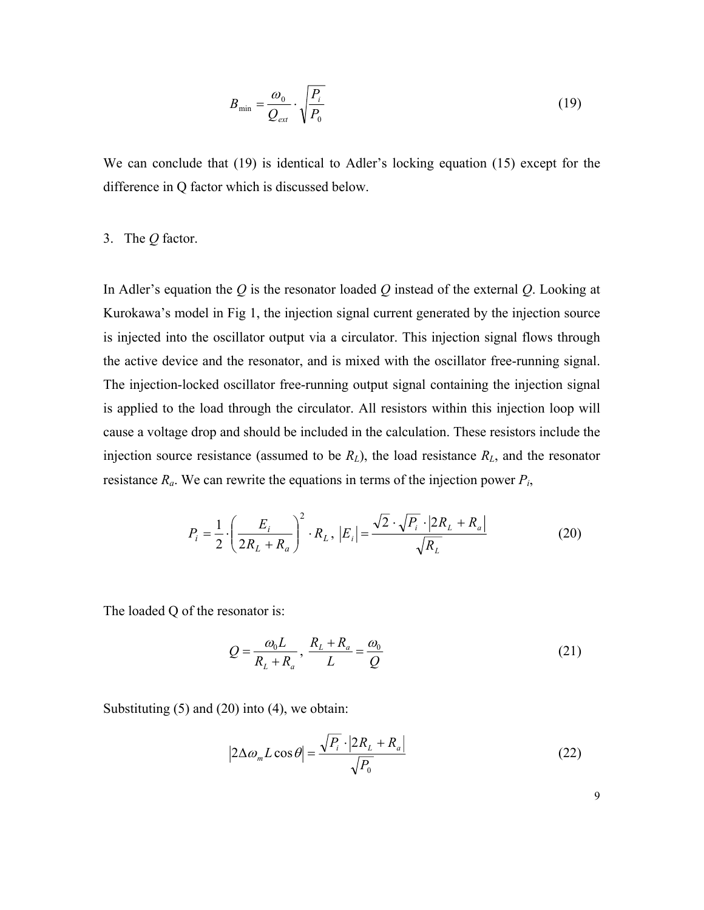$$
B_{\min} = \frac{\omega_0}{Q_{\text{ext}}} \cdot \sqrt{\frac{P_i}{P_0}}
$$
(19)

We can conclude that  $(19)$  is identical to Adler's locking equation  $(15)$  except for the difference in Q factor which is discussed below.

#### 3. The *Q* factor.

In Adler's equation the  $Q$  is the resonator loaded  $Q$  instead of the external  $Q$ . Looking at Kurokawa's model in Fig 1, the injection signal current generated by the injection source is injected into the oscillator output via a circulator. This injection signal flows through the active device and the resonator, and is mixed with the oscillator free-running signal. The injection-locked oscillator free-running output signal containing the injection signal is applied to the load through the circulator. All resistors within this injection loop will cause a voltage drop and should be included in the calculation. These resistors include the injection source resistance (assumed to be  $R_L$ ), the load resistance  $R_L$ , and the resonator resistance  $R_a$ . We can rewrite the equations in terms of the injection power  $P_i$ ,

$$
P_i = \frac{1}{2} \cdot \left(\frac{E_i}{2R_L + R_a}\right)^2 \cdot R_L, \ |E_i| = \frac{\sqrt{2} \cdot \sqrt{P_i} \cdot |2R_L + R_a|}{\sqrt{R_L}}
$$
(20)

The loaded Q of the resonator is:

$$
Q = \frac{\omega_0 L}{R_L + R_a}, \frac{R_L + R_a}{L} = \frac{\omega_0}{Q}
$$
\n<sup>(21)</sup>

Substituting  $(5)$  and  $(20)$  into  $(4)$ , we obtain:

$$
|2\Delta\omega_m L \cos\theta| = \frac{\sqrt{P_i} \cdot |2R_L + R_a|}{\sqrt{P_0}}
$$
 (22)

9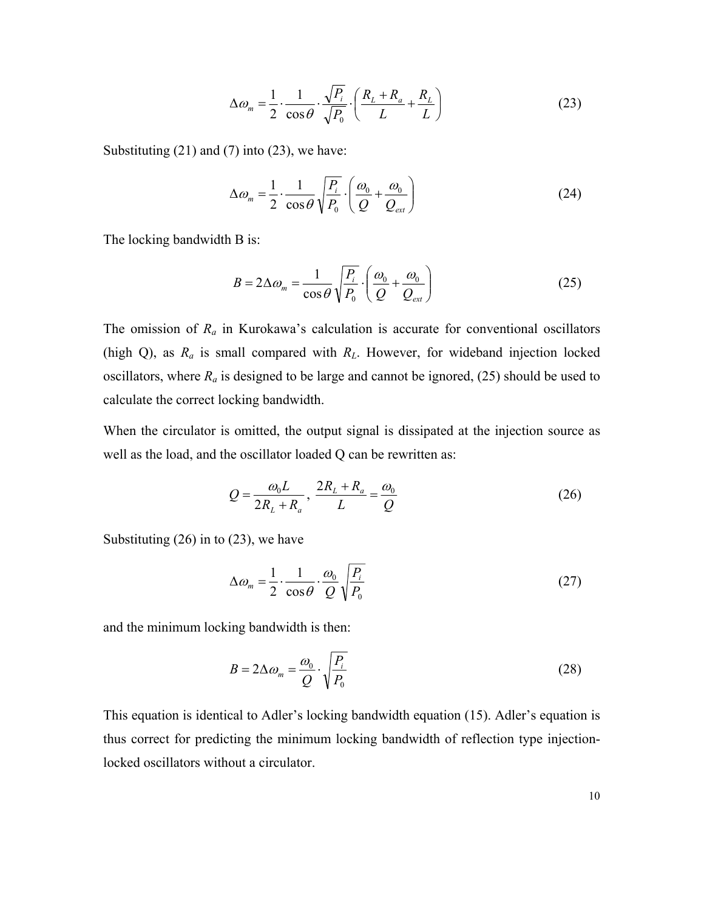$$
\Delta \omega_m = \frac{1}{2} \cdot \frac{1}{\cos \theta} \cdot \frac{\sqrt{P_i}}{\sqrt{P_0}} \cdot \left( \frac{R_L + R_a}{L} + \frac{R_L}{L} \right) \tag{23}
$$

Substituting  $(21)$  and  $(7)$  into  $(23)$ , we have:

$$
\Delta \omega_m = \frac{1}{2} \cdot \frac{1}{\cos \theta} \sqrt{\frac{P_i}{P_0}} \cdot \left( \frac{\omega_0}{Q} + \frac{\omega_0}{Q_{\text{ext}}} \right) \tag{24}
$$

The locking bandwidth B is:

$$
B = 2\Delta\omega_m = \frac{1}{\cos\theta} \sqrt{\frac{P_i}{P_0}} \cdot \left(\frac{\omega_0}{Q} + \frac{\omega_0}{Q_{\text{ext}}}\right)
$$
(25)

The omission of  $R_a$  in Kurokawa's calculation is accurate for conventional oscillators (high Q), as *Ra* is small compared with *RL*. However, for wideband injection locked oscillators, where  $R_a$  is designed to be large and cannot be ignored, (25) should be used to calculate the correct locking bandwidth.

When the circulator is omitted, the output signal is dissipated at the injection source as well as the load, and the oscillator loaded Q can be rewritten as:

$$
Q = \frac{\omega_0 L}{2R_L + R_a}, \frac{2R_L + R_a}{L} = \frac{\omega_0}{Q}
$$
 (26)

Substituting  $(26)$  in to  $(23)$ , we have

$$
\Delta \omega_m = \frac{1}{2} \cdot \frac{1}{\cos \theta} \cdot \frac{\omega_0}{Q} \sqrt{\frac{P_i}{P_0}}
$$
(27)

and the minimum locking bandwidth is then:

$$
B = 2\Delta\omega_m = \frac{\omega_0}{Q} \cdot \sqrt{\frac{P_i}{P_0}}
$$
 (28)

This equation is identical to Adler's locking bandwidth equation  $(15)$ . Adler's equation is thus correct for predicting the minimum locking bandwidth of reflection type injectionlocked oscillators without a circulator.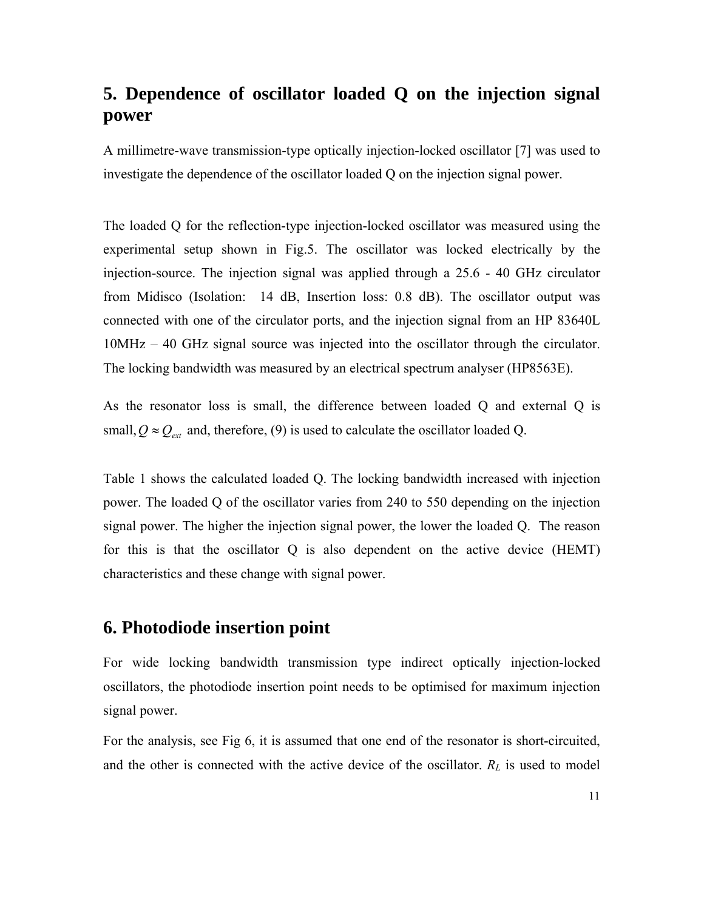## **5. Dependence of oscillator loaded Q on the injection signal power**

A millimetre-wave transmission-type optically injection-locked oscillator [7] was used to investigate the dependence of the oscillator loaded Q on the injection signal power.

The loaded Q for the reflection-type injection-locked oscillator was measured using the experimental setup shown in Fig.5. The oscillator was locked electrically by the injection-source. The injection signal was applied through a 25.6 - 40 GHz circulator from Midisco (Isolation: 14 dB, Insertion loss: 0.8 dB). The oscillator output was connected with one of the circulator ports, and the injection signal from an HP 83640L  $10MHz - 40 GHz$  signal source was injected into the oscillator through the circulator. The locking bandwidth was measured by an electrical spectrum analyser (HP8563E).

As the resonator loss is small, the difference between loaded Q and external Q is small,  $Q \approx Q_{\text{ext}}$  and, therefore, (9) is used to calculate the oscillator loaded Q.

Table 1 shows the calculated loaded Q. The locking bandwidth increased with injection power. The loaded Q of the oscillator varies from 240 to 550 depending on the injection signal power. The higher the injection signal power, the lower the loaded Q. The reason for this is that the oscillator Q is also dependent on the active device (HEMT) characteristics and these change with signal power.

#### **6. Photodiode insertion point**

For wide locking bandwidth transmission type indirect optically injection-locked oscillators, the photodiode insertion point needs to be optimised for maximum injection signal power.

For the analysis, see Fig 6, it is assumed that one end of the resonator is short-circuited, and the other is connected with the active device of the oscillator. *RL* is used to model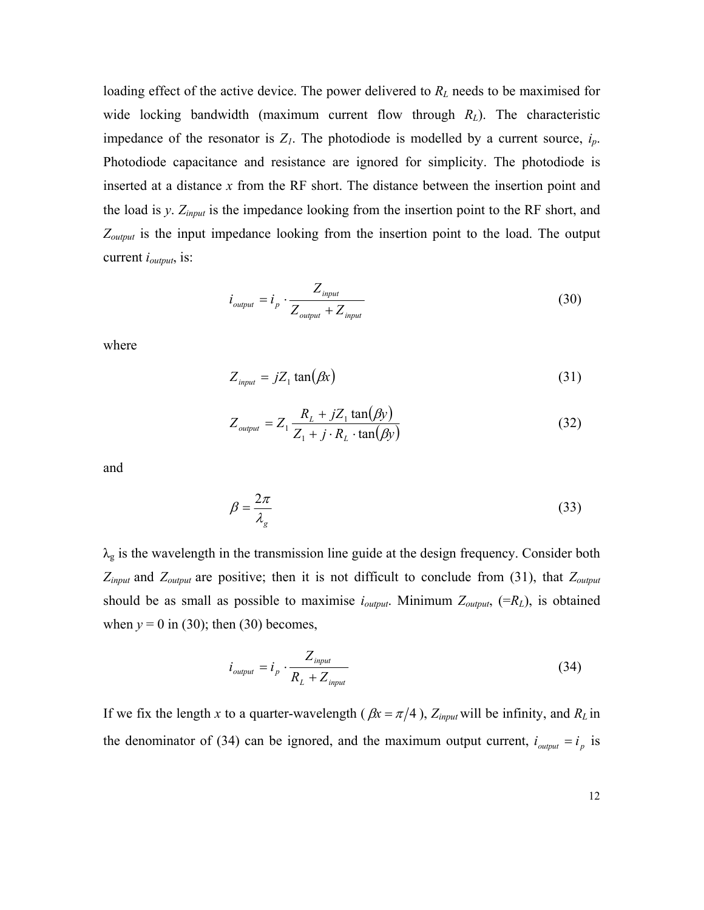loading effect of the active device. The power delivered to *RL* needs to be maximised for wide locking bandwidth (maximum current flow through *RL*). The characteristic impedance of the resonator is  $Z_l$ . The photodiode is modelled by a current source,  $i_p$ . Photodiode capacitance and resistance are ignored for simplicity. The photodiode is inserted at a distance *x* from the RF short. The distance between the insertion point and the load is *y*. *Zinput* is the impedance looking from the insertion point to the RF short, and *Zoutput* is the input impedance looking from the insertion point to the load. The output current *ioutput*, is:

$$
i_{\text{output}} = i_p \cdot \frac{Z_{\text{input}}}{Z_{\text{output}} + Z_{\text{input}}}
$$
(30)

where

$$
Z_{input} = jZ_1 \tan(\beta x) \tag{31}
$$

$$
Z_{\text{output}} = Z_1 \frac{R_L + jZ_1 \tan(\beta y)}{Z_1 + j \cdot R_L \cdot \tan(\beta y)}
$$
(32)

and

$$
\beta = \frac{2\pi}{\lambda_g} \tag{33}
$$

 $\lambda_g$  is the wavelength in the transmission line guide at the design frequency. Consider both *Zinput* and *Zoutput* are positive; then it is not difficult to conclude from (31), that *Zoutput*  should be as small as possible to maximise  $i_{output}$ . Minimum  $Z_{output}$ , (= $R_L$ ), is obtained when  $y = 0$  in (30); then (30) becomes,

$$
i_{\text{output}} = i_p \cdot \frac{Z_{\text{input}}}{R_L + Z_{\text{input}}}
$$
\n(34)

If we fix the length *x* to a quarter-wavelength ( $\beta x = \pi/4$ ),  $Z_{input}$  will be infinity, and  $R_L$  in the denominator of (34) can be ignored, and the maximum output current,  $i_{\text{output}} = i_p$  is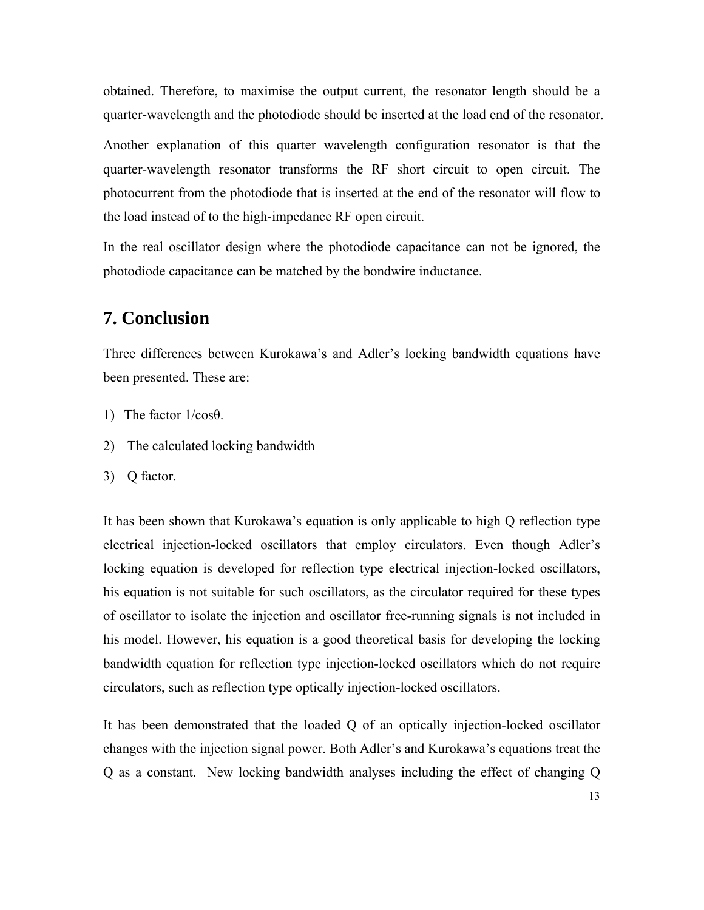obtained. Therefore, to maximise the output current, the resonator length should be a quarter-wavelength and the photodiode should be inserted at the load end of the resonator.

Another explanation of this quarter wavelength configuration resonator is that the quarter-wavelength resonator transforms the RF short circuit to open circuit. The photocurrent from the photodiode that is inserted at the end of the resonator will flow to the load instead of to the high-impedance RF open circuit.

In the real oscillator design where the photodiode capacitance can not be ignored, the photodiode capacitance can be matched by the bondwire inductance.

#### **7. Conclusion**

Three differences between Kurokawa's and Adler's locking bandwidth equations have been presented. These are:

- 1) The factor  $1/cos\theta$ .
- 2) The calculated locking bandwidth
- 3) Q factor.

It has been shown that Kurokawa's equation is only applicable to high Q reflection type electrical injection-locked oscillators that employ circulators. Even though Adler's locking equation is developed for reflection type electrical injection-locked oscillators, his equation is not suitable for such oscillators, as the circulator required for these types of oscillator to isolate the injection and oscillator free-running signals is not included in his model. However, his equation is a good theoretical basis for developing the locking bandwidth equation for reflection type injection-locked oscillators which do not require circulators, such as reflection type optically injection-locked oscillators.

It has been demonstrated that the loaded Q of an optically injection-locked oscillator changes with the injection signal power. Both Adler's and Kurokawa's equations treat the Q as a constant. New locking bandwidth analyses including the effect of changing Q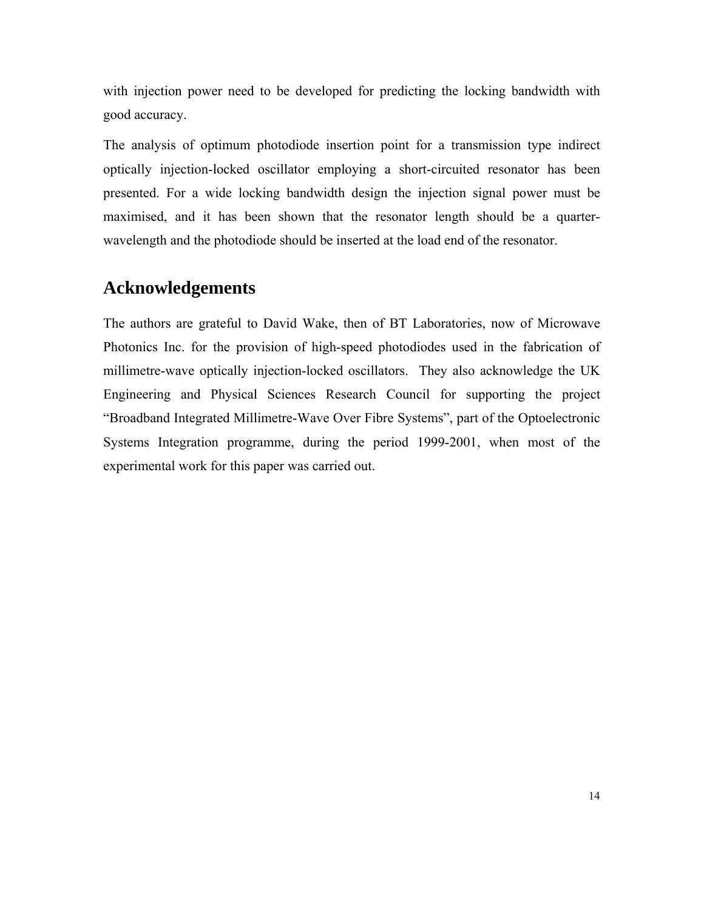with injection power need to be developed for predicting the locking bandwidth with good accuracy.

The analysis of optimum photodiode insertion point for a transmission type indirect optically injection-locked oscillator employing a short-circuited resonator has been presented. For a wide locking bandwidth design the injection signal power must be maximised, and it has been shown that the resonator length should be a quarterwavelength and the photodiode should be inserted at the load end of the resonator.

#### **Acknowledgements**

The authors are grateful to David Wake, then of BT Laboratories, now of Microwave Photonics Inc. for the provision of high-speed photodiodes used in the fabrication of millimetre-wave optically injection-locked oscillators. They also acknowledge the UK Engineering and Physical Sciences Research Council for supporting the project "Broadband Integrated Millimetre-Wave Over Fibre Systems", part of the Optoelectronic Systems Integration programme, during the period 1999-2001, when most of the experimental work for this paper was carried out.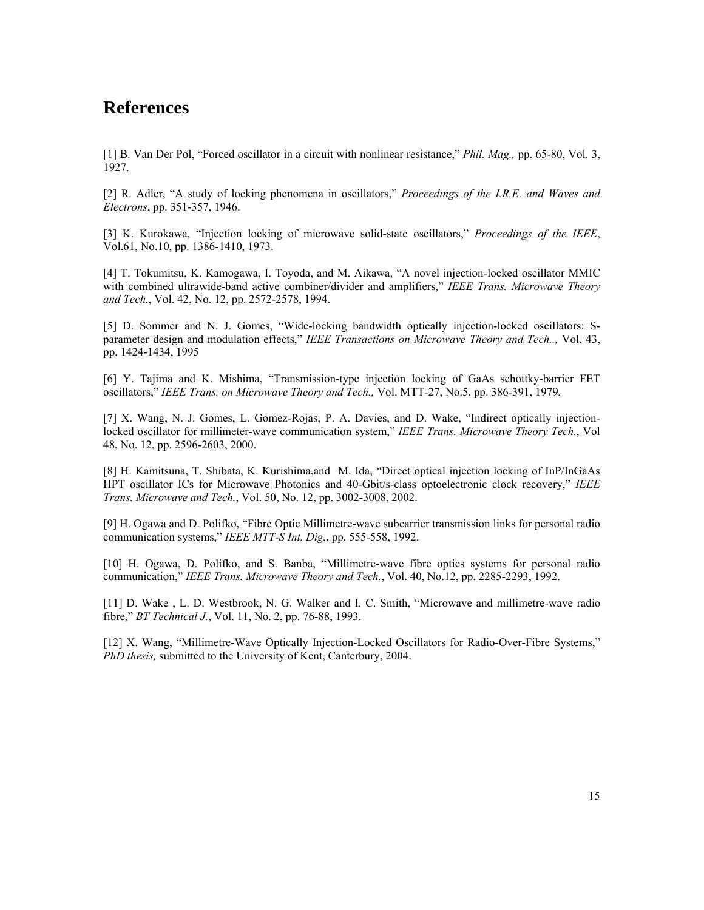### **References**

[1] B. Van Der Pol, "Forced oscillator in a circuit with nonlinear resistance," *Phil. Mag.*, pp. 65-80, Vol. 3, 1927.

[2] R. Adler, "A study of locking phenomena in oscillators," *Proceedings of the I.R.E. and Waves and Electrons*, pp. 351-357, 1946.

[3] K. Kurokawa, "Injection locking of microwave solid-state oscillators," *Proceedings of the IEEE*, Vol.61, No.10, pp. 1386-1410, 1973.

[4] T. Tokumitsu, K. Kamogawa, I. Toyoda, and M. Aikawa, "A novel injection-locked oscillator MMIC with combined ultrawide-band active combiner/divider and amplifiers," IEEE Trans. Microwave Theory *and Tech.*, Vol. 42, No. 12, pp. 2572-2578, 1994.

[5] D. Sommer and N. J. Gomes, "Wide-locking bandwidth optically injection-locked oscillators: Sparameter design and modulation effects," *IEEE Transactions on Microwave Theory and Tech.., Vol. 43*, pp. 1424-1434, 1995

[6] Y. Tajima and K. Mishima, "Transmission-type injection locking of GaAs schottky-barrier FET oscillators," IEEE Trans. on Microwave Theory and Tech., Vol. MTT-27, No.5, pp. 386-391, 1979.

[7] X. Wang, N. J. Gomes, L. Gomez-Rojas, P. A. Davies, and D. Wake, "Indirect optically injectionlocked oscillator for millimeter-wave communication system," IEEE Trans. Microwave Theory Tech., Vol 48, No. 12, pp. 2596-2603, 2000.

[8] H. Kamitsuna, T. Shibata, K. Kurishima,and M. Ida, "Direct optical injection locking of InP/InGaAs HPT oscillator ICs for Microwave Photonics and 40-Gbit/s-class optoelectronic clock recovery,î *IEEE Trans. Microwave and Tech.*, Vol. 50, No. 12, pp. 3002-3008, 2002.

[9] H. Ogawa and D. Polifko, "Fibre Optic Millimetre-wave subcarrier transmission links for personal radio communication systems," *IEEE MTT-S Int. Dig.*, pp. 555-558, 1992.

[10] H. Ogawa, D. Polifko, and S. Banba, "Millimetre-wave fibre optics systems for personal radio communication," *IEEE Trans. Microwave Theory and Tech.*, Vol. 40, No.12, pp. 2285-2293, 1992.

[11] D. Wake, L. D. Westbrook, N. G. Walker and I. C. Smith, "Microwave and millimetre-wave radio fibre,î *BT Technical J.*, Vol. 11, No. 2, pp. 76-88, 1993.

[12] X. Wang, "Millimetre-Wave Optically Injection-Locked Oscillators for Radio-Over-Fibre Systems," *PhD thesis,* submitted to the University of Kent, Canterbury, 2004.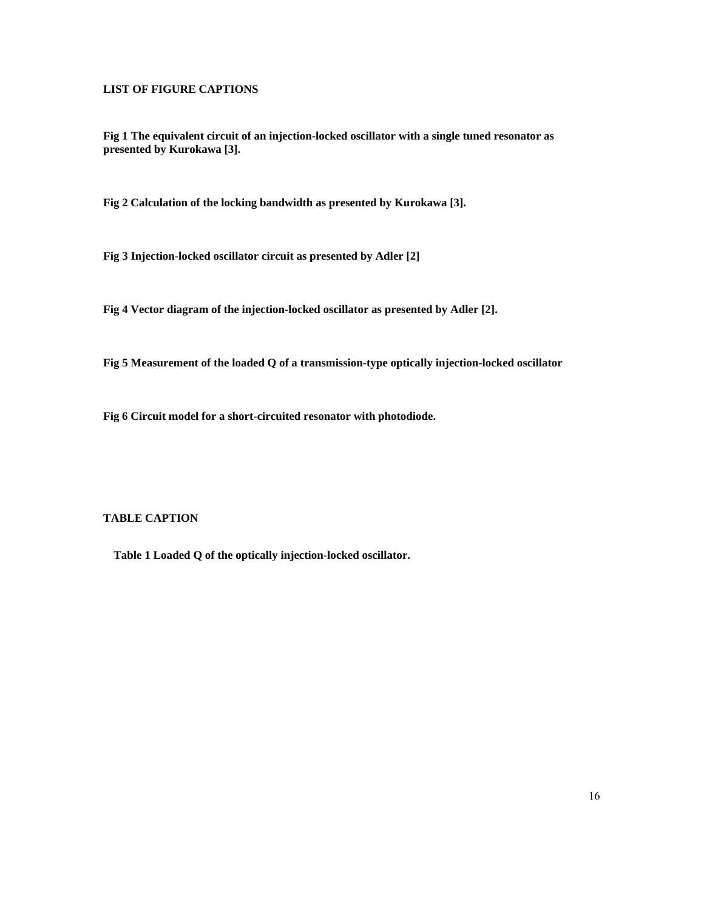#### **LIST OF FIGURE CAPTIONS**

**Fig 1 The equivalent circuit of an injection-locked oscillator with a single tuned resonator as presented by Kurokawa [3].** 

**Fig 2 Calculation of the locking bandwidth as presented by Kurokawa [3].** 

**Fig 3 Injection-locked oscillator circuit as presented by Adler [2]** 

**Fig 4 Vector diagram of the injection-locked oscillator as presented by Adler [2].** 

**Fig 5 Measurement of the loaded Q of a transmission-type optically injection-locked oscillator** 

**Fig 6 Circuit model for a short-circuited resonator with photodiode.** 

#### **TABLE CAPTION**

**Table 1 Loaded Q of the optically injection-locked oscillator.**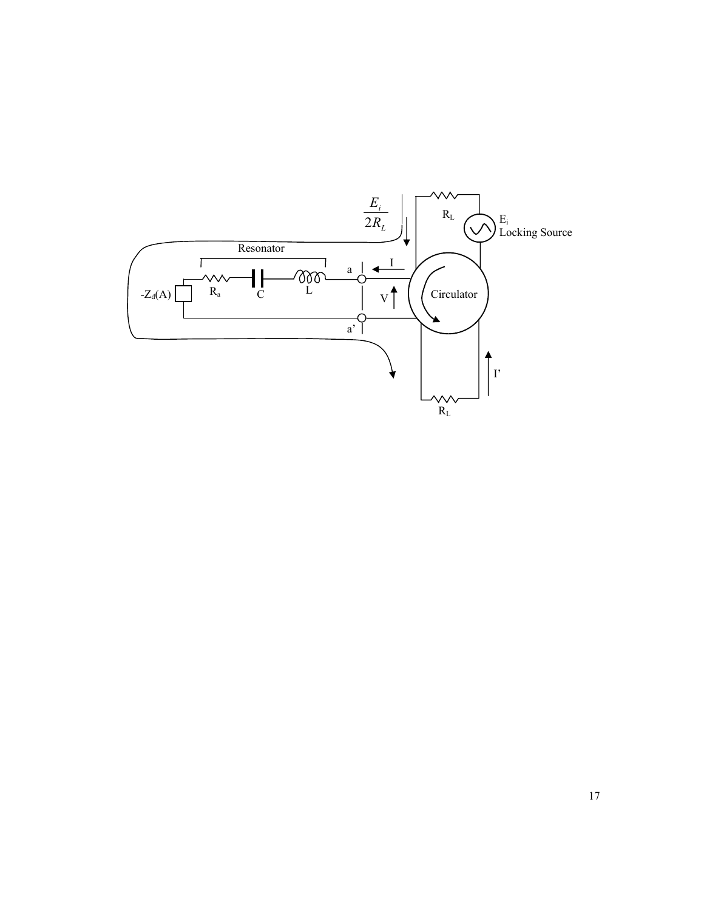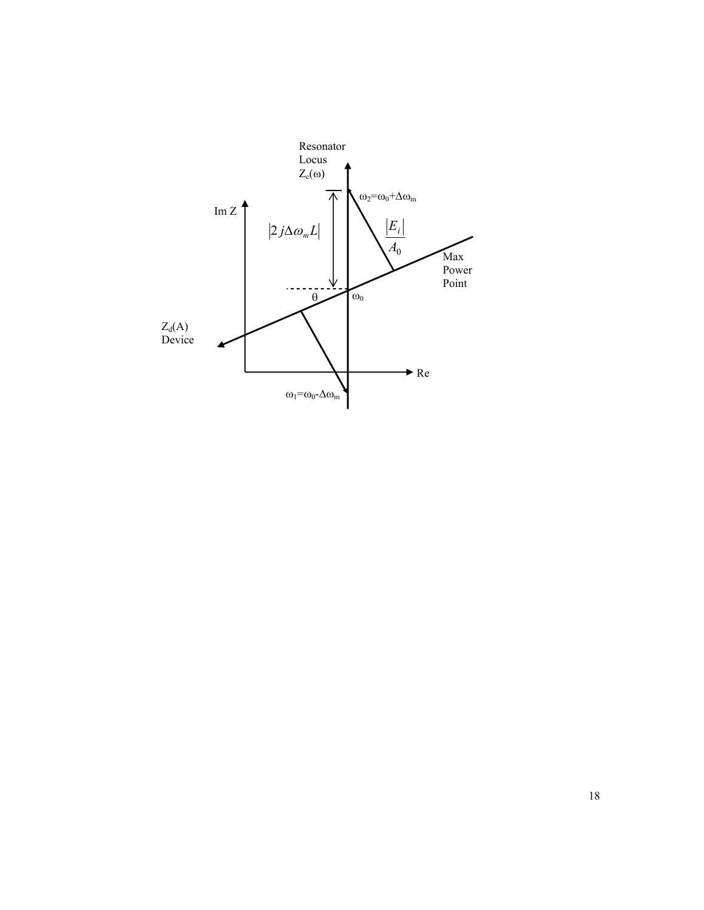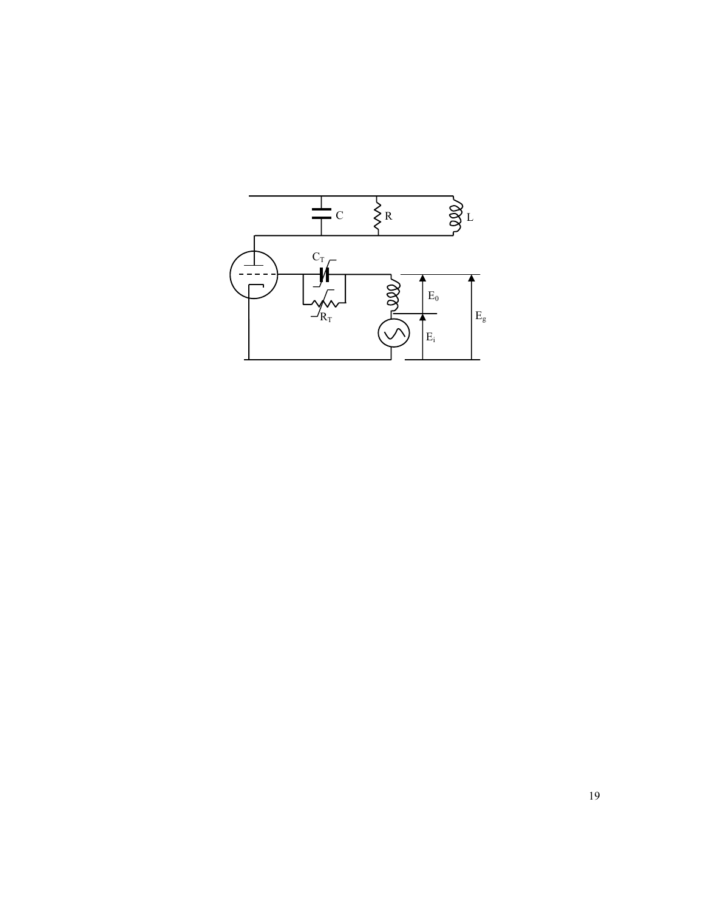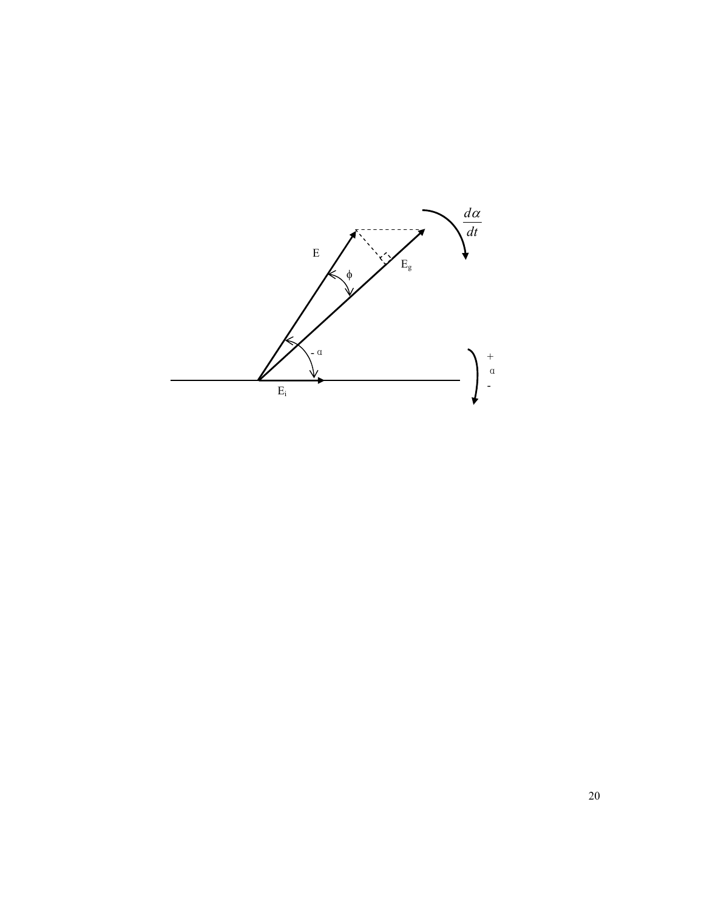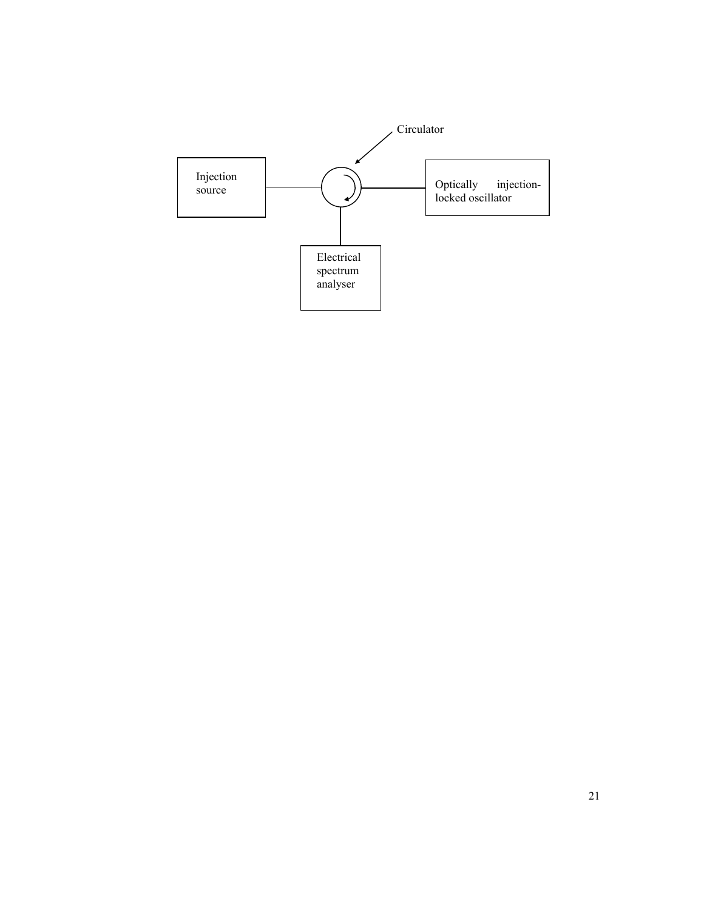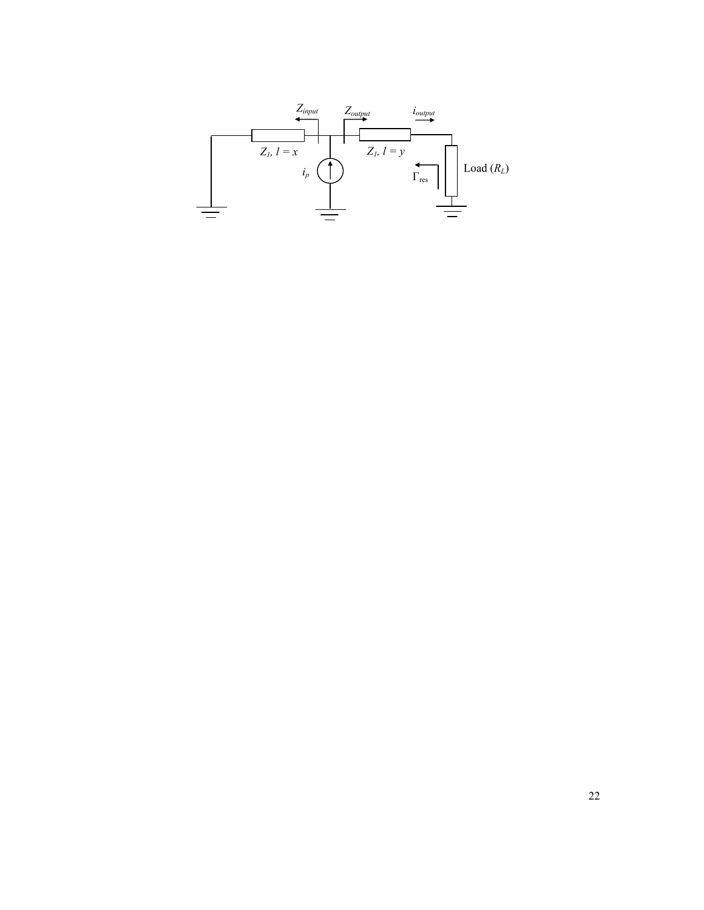